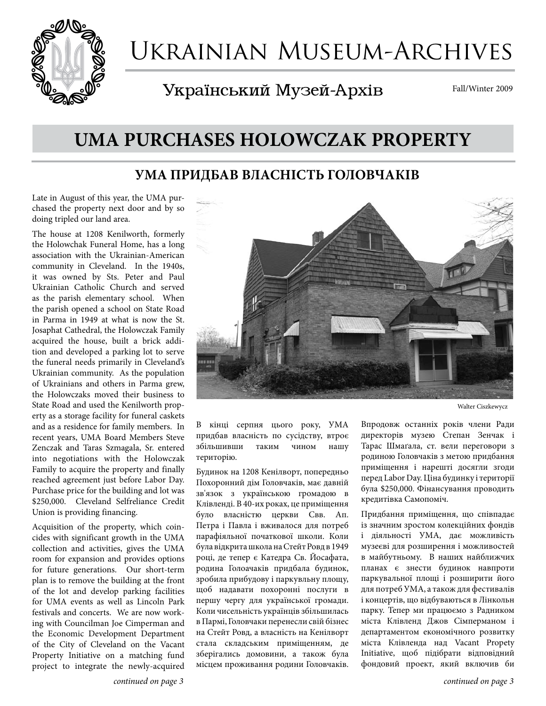

# Ukrainian Museum-Archives

Український Музей-Архів

Fall/Winter 2009

# **UMA PURCHASES HOLOWCZAK PROPERTY**

#### **УМА ПРИДБАВ ВЛАСНІСТЬ ГОЛОВЧАКІВ**

Late in August of this year, the UMA purchased the property next door and by so doing tripled our land area.

The house at 1208 Kenilworth, formerly the Holowchak Funeral Home, has a long association with the Ukrainian-American community in Cleveland. In the 1940s, it was owned by Sts. Peter and Paul Ukrainian Catholic Church and served as the parish elementary school. When the parish opened a school on State Road in Parma in 1949 at what is now the St. Josaphat Cathedral, the Holowczak Family acquired the house, built a brick addition and developed a parking lot to serve the funeral needs primarily in Cleveland's Ukrainian community. As the population of Ukrainians and others in Parma grew, the Holowczaks moved their business to State Road and used the Kenilworth property as a storage facility for funeral caskets and as a residence for family members. In recent years, UMA Board Members Steve Zenczak and Taras Szmagala, Sr. entered into negotiations with the Holowczak Family to acquire the property and finally reached agreement just before Labor Day. Purchase price for the building and lot was \$250,000. Cleveland Selfreliance Credit Union is providing financing.

Acquisition of the property, which coincides with significant growth in the UMA collection and activities, gives the UMA room for expansion and provides options for future generations. Our short-term plan is to remove the building at the front of the lot and develop parking facilities for UMA events as well as Lincoln Park festivals and concerts. We are now working with Councilman Joe Cimperman and the Economic Development Department of the City of Cleveland on the Vacant Property Initiative on a matching fund project to integrate the newly-acquired



Walter Ciszkewycz

В кінці серпня цього року, УМА придбав власність по сусідству, втроє збільшивши таким чином нашу територію.

Будинок на 1208 Кенілворт, попередньо Похоронний дім Головчаків, має давній зв'язок з українською громадою в Клівленді. В 40-их роках, це приміщення було власністю церкви Свв. Ап. Петра і Павла і вживалося для потреб парафіяльної початкової школи. Коли була відкрита школа на Стейт Ровд в 1949 році, де тепер є Катедра Св. Йосафата, родина Голоачаків придбала будинок, зробила прибудову і паркувльну площу, щоб надавати похоронні послуги в першу чергу для української громади. Коли чисельність українців збільшилась в Пармі, Головчаки перенесли свій бізнес на Стейт Ровд, а власність на Кенілворт стала складським приміщенням, де зберігались домовини, а також була місцем проживання родини Головчаків.

Впродовж останніх років члени Ради директорів музею Степан Зенчак і Тарас Шмаґала, ст. вели переговори з родиною Головчаків з метою придбання приміщення і нарешті досягли згоди перед Labor Day. Ціна будинку і території була \$250,000. Фінансування проводить кредитівка Самопоміч.

Придбання приміщення, що співпадає із значним зростом колекційних фондів і діяльності УМА, дає можливість музеєві для розширення і можливостей в майбутньому. В наших найближчих планах є знести будинок навпроти паркувальної площі і розширити його для потреб УМА, а також для фестивалів і концертів, що відбуваються в Лінкольн парку. Тепер ми працюємо з Радником міста Клівленд Джов Сімперманом і департаментом економічного розвитку міста Клівленда над Vacant Propety Initiative, щоб підібрати відповідний фондовий проект, який включив би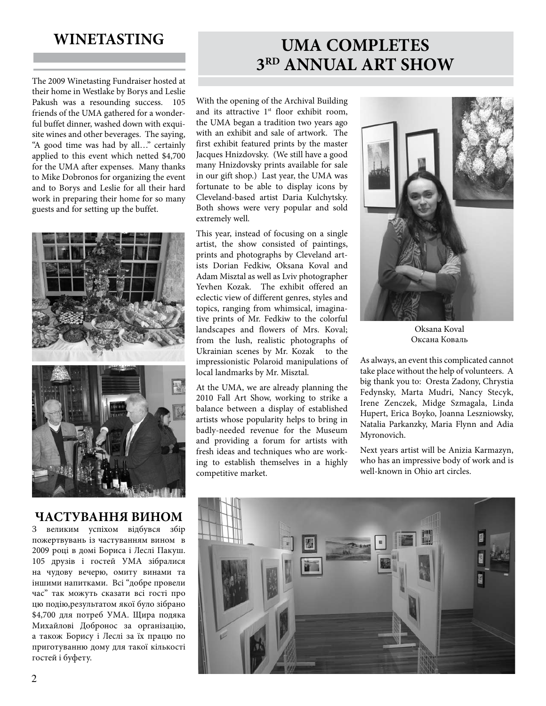### **WINETASTING**

The 2009 Winetasting Fundraiser hosted at their home in Westlake by Borys and Leslie Pakush was a resounding success. 105 friends of the UMA gathered for a wonderful buffet dinner, washed down with exquisite wines and other beverages. The saying, "A good time was had by all…" certainly applied to this event which netted \$4,700 for the UMA after expenses. Many thanks to Mike Dobronos for organizing the event and to Borys and Leslie for all their hard work in preparing their home for so many guests and for setting up the buffet.



#### **ЧАСТУВАННЯ ВИНОМ**

З великим успіхом відбувся збір пожертвувань із частуванням вином в 2009 році в домі Бориса і Леслі Пакуш. 105 друзів і гостей УМА зібралися на чудову вечерю, омиту винами та іншими напитками. Всі "добре провели час" так можуть сказати всі гості про цю подію,результатом якої було зібранo \$4,700 для потреб УМА. Щира подяка Михайлові Добронос за організацію, а також Борису і Леслі за їх працю по приготуванню дому для такої кількості гостей і буфету.

# **UMA COMPLETES 3RD ANNUAL ART SHOW**

With the opening of the Archival Building and its attractive  $1<sup>st</sup>$  floor exhibit room, the UMA began a tradition two years ago with an exhibit and sale of artwork. The first exhibit featured prints by the master Jacques Hnizdovsky. (We still have a good many Hnizdovsky prints available for sale in our gift shop.) Last year, the UMA was fortunate to be able to display icons by Cleveland-based artist Daria Kulchytsky. Both shows were very popular and sold extremely well.

This year, instead of focusing on a single artist, the show consisted of paintings, prints and photographs by Cleveland artists Dorian Fedkiw, Oksana Koval and Adam Misztal as well as Lviv photographer Yevhen Kozak. The exhibit offered an eclectic view of different genres, styles and topics, ranging from whimsical, imaginative prints of Mr. Fedkiw to the colorful landscapes and flowers of Mrs. Koval; from the lush, realistic photographs of Ukrainian scenes by Mr. Kozak to the impressionistic Polaroid manipulations of local landmarks by Mr. Misztal.

At the UMA, we are already planning the 2010 Fall Art Show, working to strike a balance between a display of established artists whose popularity helps to bring in badly-needed revenue for the Museum and providing a forum for artists with fresh ideas and techniques who are working to establish themselves in a highly competitive market.



Oksana Koval Оксана Коваль

As always, an event this complicated cannot take place without the help of volunteers. A big thank you to: Oresta Zadony, Chrystia Fedynsky, Marta Mudri, Nancy Stecyk, Irene Zenczek, Midge Szmagala, Linda Hupert, Erica Boyko, Joanna Leszniowsky, Natalia Parkanzky, Maria Flynn and Adia Myronovich.

Next years artist will be Anizia Karmazyn, who has an impressive body of work and is well-known in Ohio art circles.

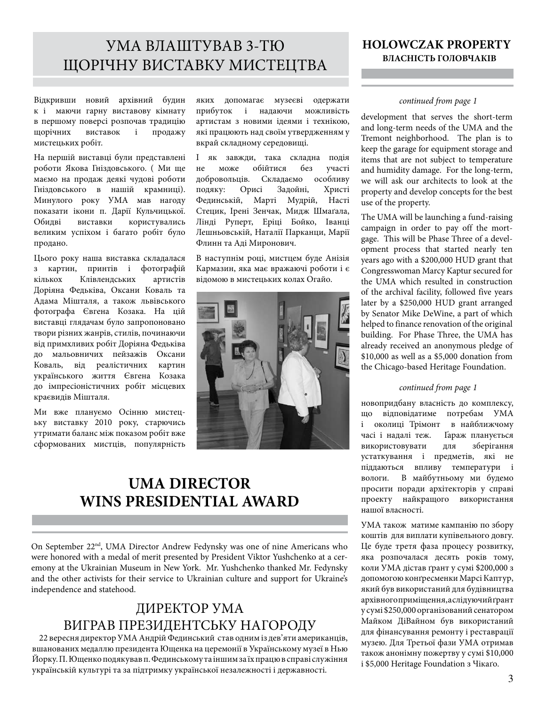### УМА ВЛАШТУВАВ 3-ТЮ ЩОРІЧНУ ВИСТАВКУ МИСТЕЦТВА

Відкривши новий архівний будин к і маючи гарну виставову кімнату в першому поверсі розпочав традицію щорічних виставок і продажу мистецьких робіт.

На першій виставці були представлені роботи Якова Гніздовського. ( Ми ще маємо на продаж деякі чудові роботи Гніздовського в нашій крамниці). Минулого року УМА мав нагоду показати ікони п. Дарії Кульчицької. Обидві виставки користувались великим успіхом і багато робіт було продано.

Цього року наша виставка складалася з картин, принтів і фотографій кількох Клівлендських артистів Доріяна Федьківа, Оксани Коваль та Адама Мішталя, а також львівського фотографа Євгена Козака. На цій виставці глядачам було запропоновано твори різних жанрів, стилів, починаючи від примхливих робіт Доріяна Федьківа до мальовничих пейзажів Оксани Коваль, від реалістичних картин українського життя Євгена Козака до імпресіоністичних робіт місцевих краєвидів Мішталя.

Ми вже плануємо Осінню мистецьку виставку 2010 року, старючись утримати баланс між показом робіт вже сформованих мистців, популярність

яких допомагає музеєві одержати прибуток і надаючи можливість артистам з новими ідеями і технікою, які працюють над своїм утвердженням у вкрай складному середовищі.

І як завжди, така складна подія не може обійтися без участі добровольців. Складаємо особливу подяку: Орисі Задойні, Христі Фединській, Марті Мудрій, Насті Стецик, Ірені Зенчак, Мидж Шмаґала, Лінді Руперт, Еріці Бойко, Іванці Лешньовській, Наталії Парканци, Марії Флинн та Аді Миронович.

В наступнім році, мистцем буде Анізія Кармазин, яка має вражаючі роботи і є відомою в мистецьких колах Огайо.



### **UMA DIRECTOR WINS PRESIDENTIAL AWARD**

On September 22nd, UMA Director Andrew Fedynsky was one of nine Americans who were honored with a medal of merit presented by President Viktor Yushchenko at a ceremony at the Ukrainian Museum in New York. Mr. Yushchenko thanked Mr. Fedynsky and the other activists for their service to Ukrainian culture and support for Ukraine's independence and statehood.

# ДИРЕКТОР УМА ВИГРАВ ПРЕЗИДЕНТСЬКУ НАГОРОДУ 22 вересня директор УМА Андрій Фединський став одним із дев'яти американців,

вшанованих медаллю президента Ющенка на церемонії в Українському музеї в Нью Йорку. П. Ющенко подякував п. Фединському та іншим за їх працю в справі служіння українській культурі та за підтримку української незалежності і державності.

#### **HOLOWCZAK PROPERTY ВЛАСНІСТЬ ГОЛОВЧАКІВ**

#### *continued from page 1*

development that serves the short-term and long-term needs of the UMA and the Tremont neighborhood. The plan is to keep the garage for equipment storage and items that are not subject to temperature and humidity damage. For the long-term, we will ask our architects to look at the property and develop concepts for the best use of the property.

The UMA will be launching a fund-raising campaign in order to pay off the mortgage. This will be Phase Three of a development process that started nearly ten years ago with a \$200,000 HUD grant that Congresswoman Marcy Kaptur secured for the UMA which resulted in construction of the archival facility, followed five years later by a \$250,000 HUD grant arranged by Senator Mike DeWine, a part of which helped to finance renovation of the original building. For Phase Three, the UMA has already received an anonymous pledge of \$10,000 as well as a \$5,000 donation from the Chicago-based Heritage Foundation.

#### *continued from page 1*

новопридбану власність до комплексу, що відповідатиме потребам УМА і околиці Трімонт в найближчому часі і надалі теж. Ґараж планується використовувати для зберігання устаткування і предметів, які не піддаються впливу температури і вологи. В майбутньому ми будемо просити поради архітекторів у справі проекту найкращого використання нашої власності.

УМА також матиме кампанію по збору коштів для виплати купівельного довгу. Це буде третя фаза процесу розвитку, яка розпочалася десять років тому, коли УМА дістав ґрант у сумі \$200,000 з допомогою конґресменки Марсі Каптур, який був використаний для будівництва архівного приміщення, а слідуючий ґрант у сумі \$250,000 організований сенатором .<br>Майком ДіВайном був використаний для фінансування ремонту і реставрації музею. Для Третьої фази УМА отримав також анонімну пожертву у сумі \$10,000 і \$5,000 Heritage Foundation з Чікаґо.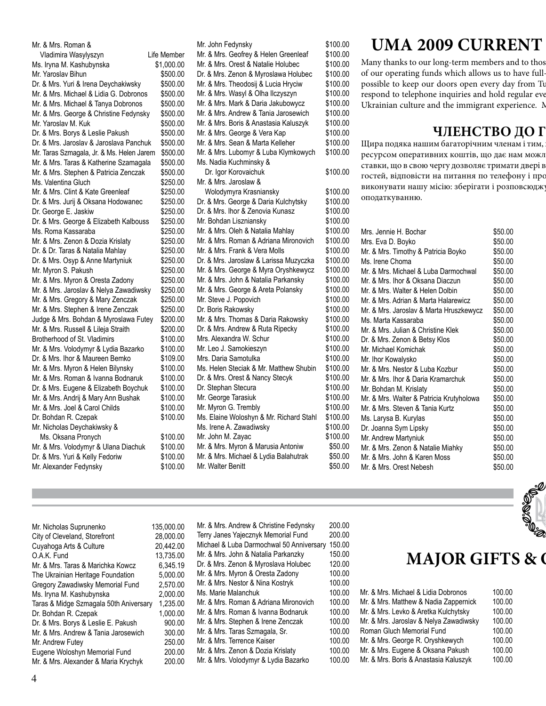Mr. & Mrs. Roman & Vladimira Wasylyszyn Life Member Ms. Iryna M. Kashubynska  $$1,000.00$ Mr. Yaroslav Bihun \$500.00 Dr. & Mrs. Yuri & Irena Deychakiwsky \$500.00 Mr. & Mrs. Michael & Lidia G. Dobronos \$500.00 Mr. & Mrs. Michael & Tanya Dobronos \$500.00 Mr. & Mrs. George & Christine Fedynsky \$500.00 Mr. Yaroslav M. Kuk \$500.00 Dr. & Mrs. Borys & Leslie Pakush \$500.00 Dr. & Mrs. Jaroslav & Jaroslava Panchuk \$500.00 Mr. Taras Szmagala, Jr. & Ms. Helen Jarem \$500.00 Mr. & Mrs. Taras & Katherine Szamagala \$500.00 Mr. & Mrs. Stephen & Patricia Zenczak \$500.00 Ms. Valentina Gluch \$250.00 Mr. & Mrs. Clint & Kate Greenleaf \$250.00 Dr. & Mrs. Jurij & Oksana Hodowanec \$250.00 Dr. George E. Jaskiw  $$250.00$ Dr. & Mrs. George & Elizabeth Kalbouss \$250.00 Ms. Roma Kassaraba  $$250.00$ Mr. & Mrs. Zenon & Dozia Krislaty \$250.00 Dr. & Dr. Taras & Natalia Mahlay \$250.00 Dr. & Mrs. Osyp & Anne Martyniuk \$250.00 Mr. Myron S. Pakush \$250.00 Mr. & Mrs. Myron & Oresta Zadony \$250.00 Mr. & Mrs. Jaroslav & Nelya Zawadiwsky \$250.00 Mr. & Mrs. Gregory & Mary Zenczak \$250.00 Mr. & Mrs. Stephen & Irene Zenczak \$250.00 Judge & Mrs. Bohdan & Myroslawa Futey \$200.00 Mr. & Mrs. Russell & Lileja Straith \$200.00 Brotherhood of St. Vladimirs \$100.00 Mr. & Mrs. Volodymyr & Lydia Bazarko \$100.00 Dr. & Mrs. Ihor & Maureen Bemko \$109.00 Mr. & Mrs. Myron & Helen Bilynsky \$100.00 Mr. & Mrs. Roman & Ivanna Bodnaruk \$100.00 Dr. & Mrs. Eugene & Elizabeth Boychuk \$100.00 Mr. & Mrs. Andrij & Mary Ann Bushak \$100.00 Mr. & Mrs. Joel & Carol Childs \$100.00 Dr. Bohdan R. Czepak  $$100.00$ Mr. Nicholas Deychakiwsky & Ms. Oksana Pronych \$100.00 Mr. & Mrs. Volodymyr & Ulana Diachuk \$100.00 Dr. & Mrs. Yuri & Kelly Fedoriw \$100.00 Mr. Alexander Fedynsky \$100.00

| Mr. John Fedynsky                       | \$100.00 |
|-----------------------------------------|----------|
| Mr. & Mrs. Geofrey & Helen Greenleaf    | \$100.00 |
| Mr. & Mrs. Orest & Natalie Holubec      | \$100.00 |
| Dr. & Mrs. Zenon & Myroslawa Holubec    | \$100.00 |
| Mr. & Mrs. Theodosij & Lucia Hryciw     | \$100.00 |
| Mr. & Mrs. Wasyl & Olha Ilczyszyn       | \$100.00 |
| Mr. & Mrs. Mark & Daria Jakubowycz      | \$100.00 |
| Mr. & Mrs. Andrew & Tania Jarosewich    | \$100.00 |
| Mr. & Mrs. Boris & Anastasia Kaluszyk   | \$100.00 |
| Mr. & Mrs. George & Vera Kap            | \$100.00 |
| Mr. & Mrs. Sean & Marta Kelleher        | \$100.00 |
| Mr. & Mrs. Lubomyr & Luba Klymkowych    | \$100.00 |
| Ms. Nadia Kuchminsky &                  |          |
| Dr. Igor Korovaichuk                    | \$100.00 |
| Mr. & Mrs. Jaroslaw &                   |          |
| Wolodymyra Krasniansky                  | \$100.00 |
| Dr. & Mrs. George & Daria Kulchytsky    | \$100.00 |
| Dr. & Mrs. Ihor & Zenovia Kunasz        | \$100.00 |
| Mr. Bohdan Liszniansky                  | \$100.00 |
| Mr. & Mrs. Oleh & Natalia Mahlay        | \$100.00 |
| Mr. & Mrs. Roman & Adriana Mironovich   | \$100.00 |
| Mr. & Mrs. Frank & Vera Molls           | \$100.00 |
| Dr. & Mrs. Jaroslaw & Larissa Muzyczka  | \$100.00 |
| Mr. & Mrs. George & Myra Oryshkewycz    | \$100.00 |
| Mr. & Mrs. John & Natalia Parkansky     | \$100.00 |
| Mr. & Mrs. George & Areta Polansky      | \$100.00 |
| Mr. Steve J. Popovich                   | \$100.00 |
| Dr. Boris Rakowsky                      | \$100.00 |
| Mr. & Mrs. Thomas & Daria Rakowsky      | \$100.00 |
| Dr. & Mrs. Andrew & Ruta Ripecky        | \$100.00 |
| Mrs. Alexandra W. Schur                 | \$100.00 |
| Mr. Leo J. Samokieszyn                  | \$100.00 |
| Mrs. Daria Samotulka                    | \$100.00 |
| Ms. Helen Steciak & Mr. Matthew Shubin  | \$100.00 |
| Dr. & Mrs. Orest & Nancy Stecyk         | \$100.00 |
| Dr. Stephan Stecura                     | \$100.00 |
| Mr. George Tarasiuk                     | \$100.00 |
| Mr. Myron G. Trembly                    | \$100.00 |
| Ms. Elaine Woloshyn & Mr. Richard Stahl | \$100.00 |
| Ms. Irene A. Zawadiwsky                 | \$100.00 |
| Mr. John M. Zayac                       | \$100.00 |
| Mr. & Mrs. Myron & Marusia Antoniw      | \$50.00  |
| Mr. & Mrs. Michael & Lydia Balahutrak   | \$50.00  |
| Mr. Walter Benitt                       | \$50.00  |
|                                         |          |

## **UMA 2009 CURRENT**

Many thanks to our long-term members and to thos of our operating funds which allows us to have fullpossible to keep our doors open every day from Tu respond to telephone inquiries and hold regular eve Ukrainian culture and the immigrant experience. Memberships are tax-

### **ЧЛЕНСТВО ДО Г**

Щира подяка нашим багаторічним членам і тим, ресурсом оперативних коштів, що дає нам можл ставки, що в свою чергу дозволяє тримати двері в гостей, відповісти на питання по телефону і про виконувати нашу місію: зберігати і розповсюджу оподаткуванню.

| Mrs. Jennie H. Bochar                    | \$50.00 |
|------------------------------------------|---------|
| Mrs. Eva D. Boyko                        | \$50.00 |
| Mr. & Mrs. Timothy & Patricia Boyko      | \$50.00 |
| Ms. Irene Choma                          | \$50.00 |
| Mr. & Mrs. Michael & Luba Darmochwal     | \$50.00 |
| Mr. & Mrs. Ihor & Oksana Diaczun         | \$50.00 |
| Mr. & Mrs. Walter & Helen Dolbin         | \$50.00 |
| Mr. & Mrs. Adrian & Marta Halarewicz     | \$50.00 |
| Mr. & Mrs. Jaroslav & Marta Hruszkewycz  | \$50.00 |
| Ms. Marta Kassaraba                      | \$50.00 |
| Mr. & Mrs. Julian & Christine Klek       | \$50.00 |
| Dr. & Mrs. Zenon & Betsy Klos            | \$50.00 |
| Mr. Michael Komichak                     | \$50.00 |
| Mr. Ihor Kowalysko                       | \$50.00 |
| Mr. & Mrs. Nestor & Luba Kozbur          | \$50.00 |
| Mr. & Mrs. Ihor & Daria Kramarchuk       | \$50.00 |
| Mr. Bohdan M. Krislaty                   | \$50.00 |
| Mr. & Mrs. Walter & Patricia Krutyholowa | \$50.00 |
| Mr. & Mrs. Steven & Tania Kurtz          | \$50.00 |
| Ms. Larysa B. Kurylas                    | \$50.00 |
| Dr. Joanna Sym Lipsky                    | \$50.00 |
| Mr. Andrew Martyniuk                     | \$50.00 |
| Mr. & Mrs. Zenon & Natalie Miahky        | \$50.00 |
| Mr. & Mrs. John & Karen Moss             | \$50.00 |
| Mr. & Mrs. Orest Nebesh                  | \$50.00 |
|                                          |         |

| Mr. Nicholas Suprunenko                | 135,000.00 |
|----------------------------------------|------------|
| City of Cleveland, Storefront          | 28.000.00  |
| Cuyahoga Arts & Culture                | 20.442.00  |
| O.A.K. Fund                            | 13.735.00  |
| Mr. & Mrs. Taras & Marichka Kowcz      | 6.345.19   |
| The Ukrainian Heritage Foundation      | 5.000.00   |
| Gregory Zawadiwsky Memorial Fund       | 2.570.00   |
| Ms. Iryna M. Kashubynska               | 2.000.00   |
| Taras & Midge Szmagala 50th Aniversary | 1.235.00   |
| Dr. Bohdan R. Czepak                   | 1.000.00   |
| Dr. & Mrs. Borys & Leslie E. Pakush    | 900.00     |
| Mr. & Mrs. Andrew & Tania Jarosewich   | 300.00     |
| Mr. Andrew Futey                       | 250.00     |
| Eugene Woloshyn Memorial Fund          | 200.00     |
| Mr. & Mrs. Alexander & Maria Krychyk   | 200.00     |

I

 $|35,000.00|$ City of Cleveland, Storefront 28,000.00 20.442.00 O.A.K. Fund 13,735.00 6.345.19  $5,000.00$ 2,570.00  $2,000.00$ 1,235.00 1,000.00 900.00 300.00 250.00  $200.00$ Mr. & Mrs. Andrew & Christine Fedynsky 200.00 Terry Janes Yajecznyk Memorial Fund 200.00 Michael & Luba Darmochwal 50 Anniversary 150.00 Mr. & Mrs. John & Natalia Parkanzky 150.00 Dr. & Mrs. Zenon & Myroslava Holubec 120.00 Mr. & Mrs. Myron & Oresta Zadony 100.00 Mr. & Mrs. Nestor & Nina Kostryk 100.00 Ms. Marie Malanchuk 100.00 Mr. & Mrs. Roman & Adriana Mironovich 100.0 Mr. & Mrs. Roman & Ivanna Bodnaruk 100.00 Mr. & Mrs. Stephen & Irene Zenczak 100.00 Mr. & Mrs. Taras Szmagala, Sr. 100.00 Mr. & Mrs. Terrence Kaiser 100.00 Mr. & Mrs. Zenon & Dozia Krislaty 100.00 Mr. & Mrs. Volodymyr & Lydia Bazarko 100.00



| C | Mr. & Mrs. Michael & Lidia Dobronos    | 100.00 |
|---|----------------------------------------|--------|
| C | Mr. & Mrs. Matthew & Nadia Zappernick  | 100.00 |
| C | Mr. & Mrs. Levko & Aretka Kulchytsky   | 100.00 |
| C | Mr. & Mrs. Jaroslav & Nelya Zawadiwsky | 100.00 |
| C | Roman Gluch Memorial Fund              | 100.00 |
| C | Mr. & Mrs. George R. Oryshkewych       | 100.00 |
| C | Mr. & Mrs. Eugene & Oksana Pakush      | 100.00 |
| C | Mr. & Mrs. Boris & Anastasia Kaluszyk  | 100.00 |
|   |                                        |        |

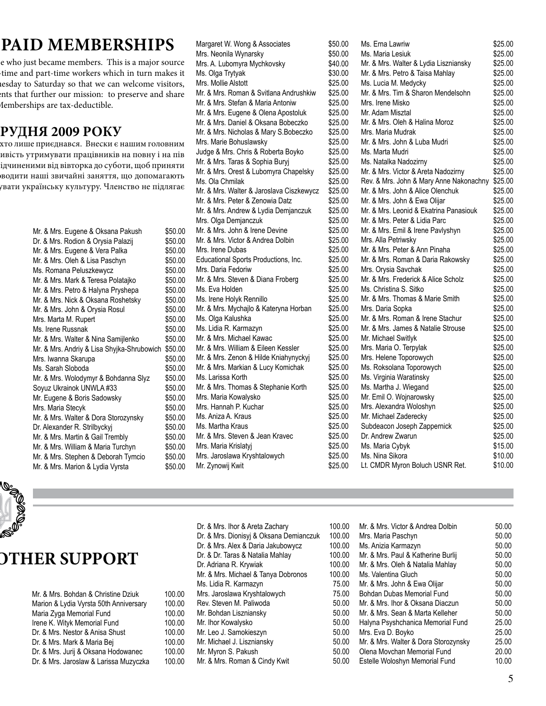# **PAID MEMBERSHIPS**

e who just became members. This is a major source time and part-time workers which in turn makes it nesday to Saturday so that we can welcome visitors, ents that further our mission: to preserve and share Iemberships are tax-deductible.

### **ЧЛЕНСТВО ДО ГРУДНЯ 2009 РОКУ**

хто лише приєднався. Внески є нашим головним ивість утримувати працівників на повну і на пів ідчиненими від вівторка до суботи, щоб приняти рводити наші звичайні заняття, що допомагають <sub>у</sub>вати українську культуру. Членство не підлягає

> Mr. & Mrs. Eugene & Oksana Pakush \$50.00 Dr. & Mrs. Rodion & Orysia Palazij \$50.00 Mr. & Mrs. Eugene & Vera Palka  $$50.00$ Mr. & Mrs. Oleh & Lisa Paschyn \$50.00 Ms. Romana Peluszkewycz  $$50.00$ Mr. & Mrs. Mark & Teresa Polatajko \$50.00 Mr. & Mrs. Petro & Halyna Pryshepa \$50.00 Mr. & Mrs. Nick & Oksana Roshetsky \$50.00 Mr. & Mrs. John & Orysia Rosul \$50.00 Mrs. Marta M. Rupert \$50.00 Ms. Irene Russnak  $$50.00$ Mr. & Mrs. Walter & Nina Samijlenko \$50.00 Mr. & Mrs. Andriy & Lisa Shyjka-Shrubowich \$50.00 Mrs. Iwanna Skarupa **\$50.00** Ms. Sarah Sloboda  $$50.00$ Mr. & Mrs. Wolodymyr & Bohdanna Slyz \$50.00 Soyuz Ukrainok UNWLA #33 \$50.00 Mr. Eugene & Boris Sadowsky \$50.00 Mrs. Maria Stecyk \$50.00 Mr. & Mrs. Walter & Dora Storozynsky \$50.00 Dr. Alexander R. Strilbyckyj \$50.00 Mr. & Mrs. Martin & Gail Trembly \$50.00 Mr. & Mrs. William & Maria Turchyn \$50.00 Mr. & Mrs. Stephen & Deborah Tymcio \$50.00 Mr. & Mrs. Marion & Lydia Vyrsta \$50.00

Margaret W. Wong & Associates \$50. Mrs. Neonila Wynarsky **\$50.000 \$50.000 \$60.000 \$50** Mrs. A. Lubomyra Mychkovsky **\$40.000** Ms. Olga Trytyak  $$30$ Mrs. Mollie Alstott \$25 Mr. & Mrs. Roman & Svitlana Andrushkiw \$25 Mr. & Mrs. Stefan & Maria Antoniw \$25 Mr. & Mrs. Eugene & Olena Apostoluk \$25 Mr. & Mrs. Daniel & Oksana Bobeczko \$25 Mr. & Mrs. Nicholas & Mary S.Bobeczko \$25 Mrs. Marie Bohuslawsky \$25 Judge & Mrs. Chris & Roberta Boyko \$25. Mr. & Mrs. Taras & Sophia Buryj \$25 Mr. & Mrs. Orest & Lubomyra Chapelsky \$25 Ms. Ola Chmilak  $$25$ Mr. & Mrs. Walter & Jaroslava Ciszkewycz \$25 Mr. & Mrs. Peter & Zenowia Datz \$25. Mr. & Mrs. Andrew & Lydia Demjanczuk \$25. Mrs. Olga Demjanczuk **\$25.000 kml** Mr. & Mrs. John & Irene Devine \$25 Mr. & Mrs. Victor & Andrea Dolbin \$25 Mrs. Irene Dubas \$25. Educational Sports Productions, Inc. \$25 Mrs. Daria Fedoriw  $$25$ . Mr. & Mrs. Steven & Diana Froberg \$25 Ms. Eva Holden \$25 Ms. Irene Holyk Rennillo **625** Mr. & Mrs. Mychajlo & Kateryna Horban \$25 Ms. Olga Kalushka  $$25$ Ms. Lidia R. Karmazyn **\$25.000 \$25.000 \$25.000 \$25** Mr. & Mrs. Michael Kawac \$25 Mr. & Mrs. William & Eileen Kessler \$25 Mr. & Mrs. Zenon & Hilde Kniahynyckyj \$25 Mr. & Mrs. Markian & Lucy Komichak \$25. Ms. Larissa Korth  $$25$ . Mr. & Mrs. Thomas & Stephanie Korth \$25. Mrs. Maria Kowalysko **\$25.** Mrs. Hannah P. Kuchar **\$25** Ms. Aniza A. Kraus **\$25.** Ms. Martha Kraus **\$25.** Mr. & Mrs. Steven & Jean Kravec \$25. Mrs. Maria Krislatyj **brandzier (\* 1874)** \$25. Mrs. Jaroslawa Kryshtalowych \$25 Mr. Zynowij Kwit **\$25.00** 

| .00      | Ms. Erna Lawriw                         | \$25.00 |
|----------|-----------------------------------------|---------|
| .00      | Ms. Maria Lesiuk                        | \$25.00 |
| .00      | Mr. & Mrs. Walter & Lydia Liszniansky   | \$25.00 |
| $_{.00}$ | Mr. & Mrs. Petro & Taisa Mahlay         | \$25.00 |
| .00      | Ms. Lucia M. Medycky                    | \$25.00 |
| .00      | Mr. & Mrs. Tim & Sharon Mendelsohn      | \$25.00 |
| .00      | Mrs. Irene Misko                        | \$25.00 |
| .00      | Mr. Adam Misztal                        | \$25.00 |
| .00      | Mr. & Mrs. Oleh & Halina Moroz          | \$25.00 |
| .00      | Mrs. Maria Mudrak                       | \$25.00 |
| .00      | Mr. & Mrs. John & Luba Mudri            | \$25.00 |
| .00      | Ms. Marta Mudri                         | \$25.00 |
| .00      | Ms. Natalka Nadozirny                   | \$25.00 |
| .00      | Mr. & Mrs. Victor & Areta Nadozirny     | \$25.00 |
| .00      | Rev. & Mrs. John & Mary Anne Nakonachny | \$25.00 |
| .00      | Mr. & Mrs. John & Alice Olenchuk        | \$25.00 |
| .00      | Mr. & Mrs. John & Ewa Olijar            | \$25.00 |
| .00      | Mr. & Mrs. Leonid & Ekatrina Panasiouk  | \$25.00 |
| .00      | Mr. & Mrs. Peter & Lidia Parc           | \$25.00 |
| .00      | Mr. & Mrs. Emil & Irene Pavlyshyn       | \$25.00 |
| .00      | Mrs. Alla Petriwsky                     | \$25.00 |
| .00      | Mr. & Mrs. Peter & Ann Pinaha           | \$25.00 |
| $_{.00}$ | Mr. & Mrs. Roman & Daria Rakowsky       | \$25.00 |
| $_{.00}$ | Mrs. Orysia Savchak                     | \$25.00 |
| .00      | Mr. & Mrs. Frederick & Alice Scholz     | \$25.00 |
| .00      | Ms. Christina S. Sitko                  | \$25.00 |
| .00      | Mr. & Mrs. Thomas & Marie Smith         | \$25.00 |
| .00      | Mrs. Daria Sopka                        | \$25.00 |
| .00      | Mr. & Mrs. Roman & Irene Stachur        | \$25.00 |
| .00      | Mr. & Mrs. James & Natalie Strouse      | \$25.00 |
| .00      | Mr. Michael Switlyk                     | \$25.00 |
| .00      | Mrs. Maria O. Terpylak                  | \$25.00 |
| .00      | Mrs. Helene Toporowych                  | \$25.00 |
| .00      | Ms. Roksolana Toporowych                | \$25.00 |
| .00      | Ms. Virginia Waratinsky                 | \$25.00 |
| $_{.00}$ | Ms. Martha J. Wiegand                   | \$25.00 |
| .00      | Mr. Emil O. Wojnarowsky                 | \$25.00 |
| .00      | Mrs. Alexandra Woloshyn                 | \$25.00 |
| .00      | Mr. Michael Zaderecky                   | \$25.00 |
| .00      | Subdeacon Joseph Zappernick             | \$25.00 |
| .00      | Dr. Andrew Zwarun                       | \$25.00 |
| .00      | Ms. Maria Cybyk                         | \$15.00 |
| .00      | Ms. Nina Sikora                         | \$10.00 |
| .00      | Lt. CMDR Myron Boluch USNR Ret.         | \$10.00 |



# **MAJOR GIFTS & OTHER SUPPORT**

| Mr. & Mrs. Bohdan & Christine Dziuk    |  |
|----------------------------------------|--|
| Marion & Lydia Vyrsta 50th Anniversary |  |
| Maria Zyga Memorial Fund               |  |
| Irene K. Wityk Memorial Fund           |  |
| Dr. & Mrs. Nestor & Anisa Shust        |  |
| Dr. & Mrs. Mark & Maria Bej            |  |
| Dr. & Mrs. Jurij & Oksana Hodowanec    |  |
| Dr. & Mrs. Jaroslaw & Larissa Muzyczka |  |

Dr. & Mrs. Ihor & Areta Zachary 100.00 Dr. & Mrs. Dionisyj & Oksana Demianczuk 100.00 Dr. & Mrs. Alex & Daria Jakubowycz 100.00 Dr. & Dr. Taras & Natalia Mahlay 100.00 Dr. Adriana R. Krywiak 100.00 Mr. & Mrs. Michael & Tanya Dobronos 100.00 Ms. Lidia R. Karmazyn 75.00 Mrs. Jaroslawa Kryshtalowych 75.00 Rev. Steven M. Paliwoda 50.00 Mr. Bohdan Liszniansky 50.00 Mr. Ihor Kowalysko 50.00 Mr. Leo J. Samokieszyn 50.00 Mr. Michael J. Liszniansky 50.00 Mr. Myron S. Pakush 50.00 Mr. & Mrs. Roman & Cindy Kwit 50.00

100.00 100.00 100.00 100.00 100.00 100.00 100.00 100.00 Mr. & Mrs. Victor & Andrea Dolbin 50.00 Mrs. Maria Paschyn 50.00 Ms. Anizia Karmazyn 50.00 Mr. & Mrs. Paul & Katherine Burlij 50.00 Mr. & Mrs. Oleh & Natalia Mahlay 50.00 Ms. Valentina Gluch 50.00 Mr. & Mrs. John & Ewa Olijar 50.00 Bohdan Dubas Memorial Fund 50.00 Mr. & Mrs. Ihor & Oksana Diaczun 50.00 Mr. & Mrs. Sean & Marta Kelleher 50.00 Halyna Psyshchanica Memorial Fund 25.00 Mrs. Eva D. Boyko 25.00 Mr. & Mrs. Walter & Dora Storozynsky 25.00 Olena Movchan Memorial Fund 20.00 Estelle Woloshyn Memorial Fund 10.00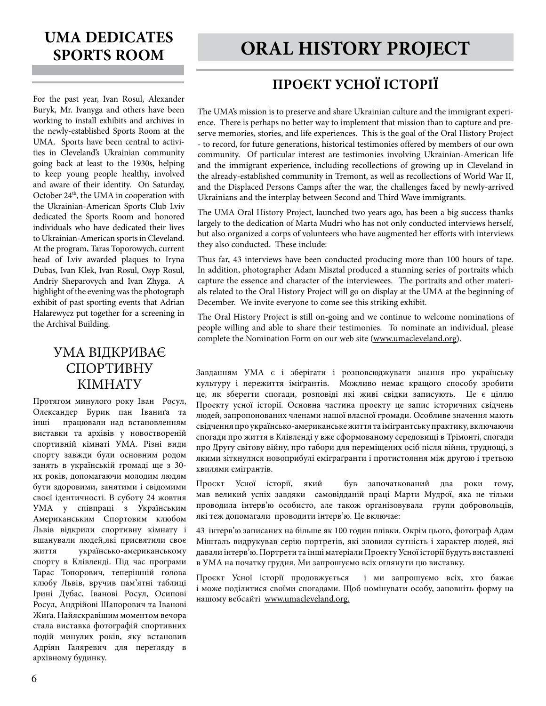For the past year, Ivan Rosul, Alexander Buryk, Mr. Ivanyga and others have been working to install exhibits and archives in the newly-established Sports Room at the UMA. Sports have been central to activities in Cleveland's Ukrainian community going back at least to the 1930s, helping to keep young people healthy, involved and aware of their identity. On Saturday, October 24<sup>th</sup>, the UMA in cooperation with the Ukrainian-American Sports Club Lviv dedicated the Sports Room and honored individuals who have dedicated their lives to Ukrainian-American sports in Cleveland. At the program, Taras Toporowych, current head of Lviv awarded plaques to Iryna Dubas, Ivan Klek, Ivan Rosul, Osyp Rosul, Andriy Sheparovych and Ivan Zhyga. A highlight of the evening was the photograph exhibit of past sporting events that Adrian Halarewycz put together for a screening in the Archival Building.

#### УМА ВІДКРИВАЄ СПОРТИВНУ КІМНАТУ

Протягом минулого року Іван Росул, Oлександер Бурик пан Іваниґа та інші працювали над встановленням виставки та архівів у новоствореній спортивній кімнаті УМА. Різні види спорту завжди були основним родом занять в українській громаді ще з 30 их років, допомагаючи молодим людям бути здоровими, занятими і свідомими своєї ідентичності. В суботу 24 жовтня УМА у співпраці з Українським Американським Спортовим клюбом Львів відкрили спортивну кімнату і вшанували людей,які присвятили своє життя українсько-американському спорту в Клівленді. Під час програми Тарас Топорович, теперішній голова клюбу Львів, вручив пам'ятні таблиці Ірині Дубас, Іванові Росул, Осипові Росул, Андрійові Шапорович та Іванові Жиґа. Найяскравішим моментом вечора стала виставка фотографій спортивних подій минулих років, яку встановив Адріян Галяревич для перегляду в архівному будинку.

# **ORAL HISTORY PROJECT**

# **ПРОЄКТ УСНОЇ ІСТОРІЇ**

The UMA's mission is to preserve and share Ukrainian culture and the immigrant experience. There is perhaps no better way to implement that mission than to capture and preserve memories, stories, and life experiences. This is the goal of the Oral History Project - to record, for future generations, historical testimonies offered by members of our own community. Of particular interest are testimonies involving Ukrainian-American life and the immigrant experience, including recollections of growing up in Cleveland in the already-established community in Tremont, as well as recollections of World War II, and the Displaced Persons Camps after the war, the challenges faced by newly-arrived Ukrainians and the interplay between Second and Third Wave immigrants.

The UMA Oral History Project, launched two years ago, has been a big success thanks largely to the dedication of Marta Mudri who has not only conducted interviews herself, but also organized a corps of volunteers who have augmented her efforts with interviews they also conducted. These include:

Thus far, 43 interviews have been conducted producing more than 100 hours of tape. In addition, photographer Adam Misztal produced a stunning series of portraits which capture the essence and character of the interviewees. The portraits and other materials related to the Oral History Project will go on display at the UMA at the beginning of December. We invite everyone to come see this striking exhibit.

The Oral History Project is still on-going and we continue to welcome nominations of people willing and able to share their testimonies. To nominate an individual, please complete the Nomination Form on our web site (www.umacleveland.org).

Завданням УМА є і зберігати і розповсюджувати знання про українську культуру і пережиття іміґрантів. Можливо немає кращого способу зробити це, як зберегти спогади, розповіді які живі свідки записують. Це є ціллю Проекту усної історії. Основна частина проекту це запис історичних свідчень людей, запропонованих членами нашої власної громади. Особливе значення мають свідчення про українсько-американське життя та імігрантську практику, включаючи спогади про життя в Клівленді у вже сформованому середовищі в Трімонті, спогади про Другу світову війну, про табори для переміщених осіб після війни, труднощі, з якими зіткнулися новоприбулі еміграґранти і протистояння між другою і третьою хвилями емігрантів.

Проєкт Усної історії, який був започаткований два роки тому, мав великий успіх завдяки самовідданій праці Марти Мудрої, яка не тільки проводила інтерв'ю особисто, але також організовувала групи добровольців, які теж допомагали проводити інтерв'ю. Це включає:

43 інтерв'ю записаних на більше як 100 годин плівки. Окрім цього, фотограф Адам Мішталь видрукував серію портретів, які зловили сутність і характер людей, які давали інтерв'ю. Портрети та інші матеріали Проекту Усної історії будуть виставлені в УМА на початку грудня. Ми запрошуємо всіх оглянути цю виставку.

Проєкт Усної історії продовжується і ми запрошуємо всіх, хто бажає і може поділитися своїми спогадами. Щоб номінувати особу, заповніть форму на нашому вебсайті www.umacleveland.org.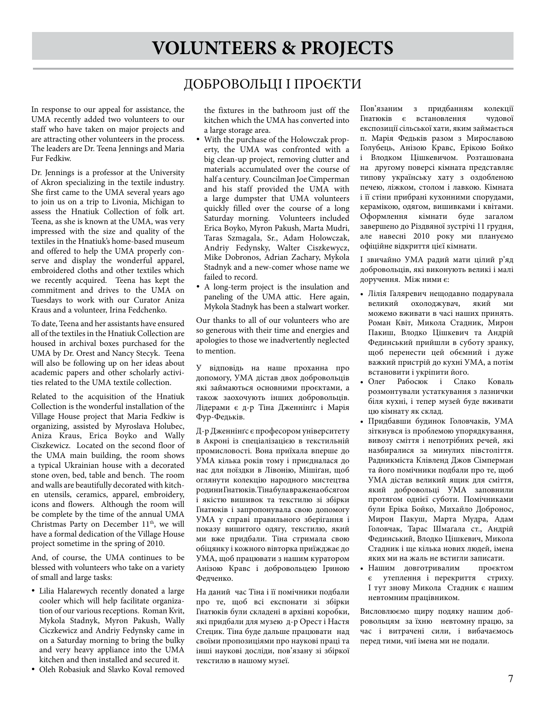### ДОБРОВОЛЬЦІ І ПРОЄКТИ

In response to our appeal for assistance, the UMA recently added two volunteers to our staff who have taken on major projects and are attracting other volunteers in the process. The leaders are Dr. Teena Jennings and Maria Fur Fedkiw.

Dr. Jennings is a professor at the University of Akron specializing in the textile industry. She first came to the UMA several years ago to join us on a trip to Livonia, Michigan to assess the Hnatiuk Collection of folk art. Teena, as she is known at the UMA, was very impressed with the size and quality of the textiles in the Hnatiuk's home-based museum and offered to help the UMA properly conserve and display the wonderful apparel, embroidered cloths and other textiles which we recently acquired. Teena has kept the commitment and drives to the UMA on Tuesdays to work with our Curator Aniza Kraus and a volunteer, Irina Fedchenko.

To date, Teena and her assistants have ensured all of the textiles in the Hnatiuk Collection are housed in archival boxes purchased for the UMA by Dr. Orest and Nancy Stecyk. Teena will also be following up on her ideas about academic papers and other scholarly activities related to the UMA textile collection.

Related to the acquisition of the Hnatiuk Collection is the wonderful installation of the Village House project that Maria Fedkiw is organizing, assisted by Myroslava Holubec, Aniza Kraus, Erica Boyko and Wally Ciszkewicz. Located on the second floor of the UMA main building, the room shows a typical Ukrainian house with a decorated stone oven, bed, table and bench. The room and walls are beautifully decorated with kitchen utensils, ceramics, apparel, embroidery, icons and flowers. Although the room will be complete by the time of the annual UMA Christmas Party on December 11<sup>th</sup>, we will have a formal dedication of the Village House project sometime in the spring of 2010.

And, of course, the UMA continues to be blessed with volunteers who take on a variety of small and large tasks:

- • Lilia Halarewych recently donated a large cooler which will help facilitate organization of our various receptions. Roman Kvit, Mykola Stadnyk, Myron Pakush, Wally Ciczkewicz and Andriy Fedynsky came in on a Saturday morning to bring the bulky and very heavy appliance into the UMA kitchen and then installed and secured it.
- • Oleh Robasiuk and Slavko Koval removed

the fixtures in the bathroom just off the kitchen which the UMA has converted into a large storage area.

- With the purchase of the Holowczak property, the UMA was confronted with a big clean-up project, removing clutter and materials accumulated over the course of half a century. Councilman Joe Cimperman and his staff provided the UMA with a large dumpster that UMA volunteers quickly filled over the course of a long Saturday morning. Volunteers included Erica Boyko, Myron Pakush, Marta Mudri, Taras Szmagala, Sr., Adam Holowczak, Andriy Fedynsky, Walter Ciszkewycz, Mike Dobronos, Adrian Zachary, Mykola Stadnyk and a new-comer whose name we failed to record.
- A long-term project is the insulation and paneling of the UMA attic. Here again, Mykola Stadnyk has been a stalwart worker.

Our thanks to all of our volunteers who are so generous with their time and energies and apologies to those we inadvertently neglected to mention.

У відповідь на наше проханна про допомогу, УМА дістав двох добровольців які займаються основними проєктами, а також заохочують інших добровольців. Лідерами є д-р Тіна Дженнінґс і Марія Фур-Федьків.

Д-р Дженнінґс є професором університету в Акроні із спеціалізацією в текстильній промисловості. Вона приїхала вперше до УМА кілька років тому і приєдналася до нас для поїздки в Лівонію, Мішіґан, щоб оглянути колекцію народного мистецтва родини Гнатюків. Тіна була вражена обсягом і якістю вишивок та текстилю зі збірки Гнатюків і запропонувала свою допомогу УМА у справі правильного зберігання і показу вишитого одягу, текстилю, який ми вже придбали. Тіна стримала свою обіцянку і кожного вівторка приїжджає до УМА, щоб працювати з нашим куратором Анізою Кравс і добровольцею Іриною Федченко.

На даний час Тіна і її помічники подбали про те, щоб всі експонати зі збірки Гнатюків були складені в архівні коробки, які придбали для музею д-р Орест і Настя Стецик. Тіна буде дальше працювати над своїми пропозиціями про наукові праці та інші наукові досліди, пов'язану зі збіркої текстилю в нашому музеї.

Пов'язаним з придбанням колекції Гнатюків є встановлення чудової експозиції сільської хати, яким займається п. Марія Федьків разом з Мирославою Голубець, Анізою Кравс, Ерікою Бойко і Влодком Цішкевичом. Розташована на другому поверсі кімната представляє типову українську хату з оздобленою печею, ліжком, столом і лавкою. Кімната і її стіни прибрані кухонними спорудами, керамікою, одягом, вишивками і квітами. Оформлення кімнати буде загалом завершено до Різдвяної зустрічі 11 грудня, але навесні 2010 року ми плануємо офіційне відкриття цієї кімнати.

І звичайно УМА радий мати цілий р'яд добровольців, які виконують великі і малі доручення. Між ними є:

- • Лілія Галяревич нещодавно подарувала великий охолоджувач, який ми можемо вживати в часі наших принять. Роман Квіт, Микола Стадник, Мирон Пакиш, Влодко Цішкевич та Андрій Фединський прийшли в суботу зранку, щоб перенести цей обємний і дуже важкий пристрій до кухні УМА, а потім встановити і укріпити його.
- Олег Рабосюк і Слако Коваль розмонтували устаткування з лазнички біля кухні, і тепер музей буде вживати цю кімнату як склад.
- • Придбавши будинок Головчаків, УМА зіткнувся із проблемою упорядкування, вивозу сміття і непотрібних речей, які назбиралися за минулих півстоліття. Радникміста Клівленд Джов Сімперман та його помічники подбали про те, щоб УМА дістав великий ящик для сміття, який добровольці УМА заповнили протягом однієї суботи. Помічниками були Еріка Бойко, Михайло Добронос, Мирон Пакуш, Марта Мудра, Адам Головчак, Тарас Шмаґала ст., Андрій Фединський, Влодко Цішкевич, Микола Стадник і ще кілька нових людей, імена яких ми на жаль не встигли записати.
- • Нашим довготривалим проєктом є утеплення і перекриття стриху. І тут знову Микола Стадник є нашим невтомним працівником.

Висловлюємо щиру подяку нашим добровольцям за їхню невтомну працю, за час і витрачені сили, і вибачаємось перед тими, чиї імена ми не подали.